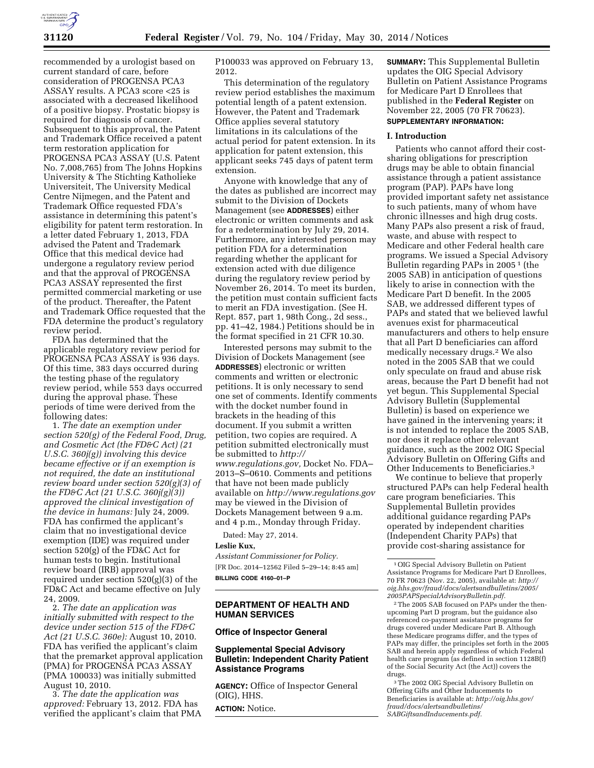

recommended by a urologist based on current standard of care, before consideration of PROGENSA PCA3 ASSAY results. A PCA3 score <25 is associated with a decreased likelihood of a positive biopsy. Prostatic biopsy is required for diagnosis of cancer. Subsequent to this approval, the Patent and Trademark Office received a patent term restoration application for PROGENSA PCA3 ASSAY (U.S. Patent No. 7,008,765) from The Johns Hopkins University & The Stichting Katholieke Universiteit, The University Medical Centre Nijmegen, and the Patent and Trademark Office requested FDA's assistance in determining this patent's eligibility for patent term restoration. In a letter dated February 1, 2013, FDA advised the Patent and Trademark Office that this medical device had undergone a regulatory review period and that the approval of PROGENSA PCA3 ASSAY represented the first permitted commercial marketing or use of the product. Thereafter, the Patent and Trademark Office requested that the FDA determine the product's regulatory review period.

FDA has determined that the applicable regulatory review period for PROGENSA PCA3 ASSAY is 936 days. Of this time, 383 days occurred during the testing phase of the regulatory review period, while 553 days occurred during the approval phase. These periods of time were derived from the following dates:

1. *The date an exemption under section 520(g) of the Federal Food, Drug, and Cosmetic Act (the FD&C Act) (21 U.S.C. 360j(g)) involving this device became effective or if an exemption is not required, the date an institutional review board under section 520(g)(3) of the FD&C Act (21 U.S.C. 360j(g)(3)) approved the clinical investigation of the device in humans:* July 24, 2009. FDA has confirmed the applicant's claim that no investigational device exemption (IDE) was required under section 520(g) of the FD&C Act for human tests to begin. Institutional review board (IRB) approval was required under section 520(g)(3) of the FD&C Act and became effective on July 24, 2009.

2. *The date an application was initially submitted with respect to the device under section 515 of the FD&C Act (21 U.S.C. 360e):* August 10, 2010. FDA has verified the applicant's claim that the premarket approval application (PMA) for PROGENSA PCA3 ASSAY (PMA 100033) was initially submitted August 10, 2010.

3. *The date the application was approved:* February 13, 2012. FDA has verified the applicant's claim that PMA P100033 was approved on February 13, 2012.

This determination of the regulatory review period establishes the maximum potential length of a patent extension. However, the Patent and Trademark Office applies several statutory limitations in its calculations of the actual period for patent extension. In its application for patent extension, this applicant seeks 745 days of patent term extension.

Anyone with knowledge that any of the dates as published are incorrect may submit to the Division of Dockets Management (see **ADDRESSES**) either electronic or written comments and ask for a redetermination by July 29, 2014. Furthermore, any interested person may petition FDA for a determination regarding whether the applicant for extension acted with due diligence during the regulatory review period by November 26, 2014. To meet its burden, the petition must contain sufficient facts to merit an FDA investigation. (See H. Rept. 857, part 1, 98th Cong., 2d sess., pp. 41–42, 1984.) Petitions should be in the format specified in 21 CFR 10.30.

Interested persons may submit to the Division of Dockets Management (see **ADDRESSES**) electronic or written comments and written or electronic petitions. It is only necessary to send one set of comments. Identify comments with the docket number found in brackets in the heading of this document. If you submit a written petition, two copies are required. A petition submitted electronically must be submitted to *[http://](http://www.regulations.gov) [www.regulations.gov,](http://www.regulations.gov)* Docket No. FDA– 2013–S–0610. Comments and petitions that have not been made publicly available on *<http://www.regulations.gov>* may be viewed in the Division of Dockets Management between 9 a.m. and 4 p.m., Monday through Friday.

Dated: May 27, 2014.

### **Leslie Kux,**

*Assistant Commissioner for Policy.*  [FR Doc. 2014–12562 Filed 5–29–14; 8:45 am] **BILLING CODE 4160–01–P** 

# **DEPARTMENT OF HEALTH AND HUMAN SERVICES**

### **Office of Inspector General**

# **Supplemental Special Advisory Bulletin: Independent Charity Patient Assistance Programs**

**AGENCY:** Office of Inspector General (OIG), HHS.

**ACTION:** Notice.

**SUMMARY:** This Supplemental Bulletin updates the OIG Special Advisory Bulletin on Patient Assistance Programs for Medicare Part D Enrollees that published in the **Federal Register** on November 22, 2005 (70 FR 70623). **SUPPLEMENTARY INFORMATION:** 

#### **I. Introduction**

Patients who cannot afford their costsharing obligations for prescription drugs may be able to obtain financial assistance through a patient assistance program (PAP). PAPs have long provided important safety net assistance to such patients, many of whom have chronic illnesses and high drug costs. Many PAPs also present a risk of fraud, waste, and abuse with respect to Medicare and other Federal health care programs. We issued a Special Advisory Bulletin regarding PAPs in 2005 1 (the 2005 SAB) in anticipation of questions likely to arise in connection with the Medicare Part D benefit. In the 2005 SAB, we addressed different types of PAPs and stated that we believed lawful avenues exist for pharmaceutical manufacturers and others to help ensure that all Part D beneficiaries can afford medically necessary drugs.2 We also noted in the 2005 SAB that we could only speculate on fraud and abuse risk areas, because the Part D benefit had not yet begun. This Supplemental Special Advisory Bulletin (Supplemental Bulletin) is based on experience we have gained in the intervening years; it is not intended to replace the 2005 SAB, nor does it replace other relevant guidance, such as the 2002 OIG Special Advisory Bulletin on Offering Gifts and Other Inducements to Beneficiaries.3

We continue to believe that properly structured PAPs can help Federal health care program beneficiaries. This Supplemental Bulletin provides additional guidance regarding PAPs operated by independent charities (Independent Charity PAPs) that provide cost-sharing assistance for

<sup>1</sup>OIG Special Advisory Bulletin on Patient Assistance Programs for Medicare Part D Enrollees, 70 FR 70623 (Nov. 22, 2005), available at: *[http://](http://oig.hhs.gov/fraud/docs/alertsandbulletins/2005/2005PAPSpecialAdvisoryBulletin.pdf)  [oig.hhs.gov/fraud/docs/alertsandbulletins/2005/](http://oig.hhs.gov/fraud/docs/alertsandbulletins/2005/2005PAPSpecialAdvisoryBulletin.pdf)  [2005PAPSpecialAdvisoryBulletin.pdf.](http://oig.hhs.gov/fraud/docs/alertsandbulletins/2005/2005PAPSpecialAdvisoryBulletin.pdf)* 

<sup>2</sup>The 2005 SAB focused on PAPs under the thenupcoming Part D program, but the guidance also referenced co-payment assistance programs for drugs covered under Medicare Part B. Although these Medicare programs differ, and the types of PAPs may differ, the principles set forth in the 2005 SAB and herein apply regardless of which Federal health care program (as defined in section 1128B(f) of the Social Security Act (the Act)) covers the drugs.

<sup>3</sup>The 2002 OIG Special Advisory Bulletin on Offering Gifts and Other Inducements to Beneficiaries is available at: *[http://oig.hhs.gov/](http://oig.hhs.gov/fraud/docs/alertsandbulletins/SABGiftsandInducements.pdf)  [fraud/docs/alertsandbulletins/](http://oig.hhs.gov/fraud/docs/alertsandbulletins/SABGiftsandInducements.pdf)  [SABGiftsandInducements.pdf.](http://oig.hhs.gov/fraud/docs/alertsandbulletins/SABGiftsandInducements.pdf)*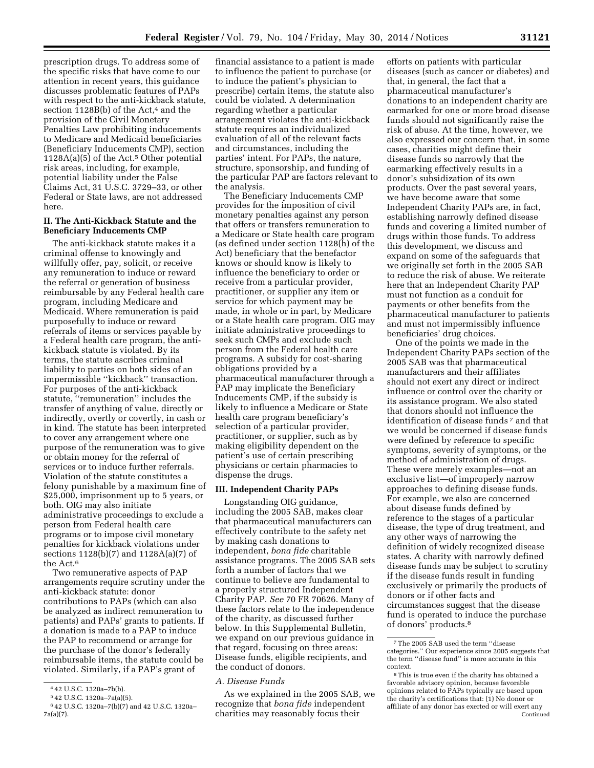prescription drugs. To address some of the specific risks that have come to our attention in recent years, this guidance discusses problematic features of PAPs with respect to the anti-kickback statute, section 1128B(b) of the Act,<sup>4</sup> and the provision of the Civil Monetary Penalties Law prohibiting inducements to Medicare and Medicaid beneficiaries (Beneficiary Inducements CMP), section  $1128A(a)(5)$  of the Act.<sup>5</sup> Other potential risk areas, including, for example, potential liability under the False Claims Act, 31 U.S.C. 3729–33, or other Federal or State laws, are not addressed here.

### **II. The Anti-Kickback Statute and the Beneficiary Inducements CMP**

The anti-kickback statute makes it a criminal offense to knowingly and willfully offer, pay, solicit, or receive any remuneration to induce or reward the referral or generation of business reimbursable by any Federal health care program, including Medicare and Medicaid. Where remuneration is paid purposefully to induce or reward referrals of items or services payable by a Federal health care program, the antikickback statute is violated. By its terms, the statute ascribes criminal liability to parties on both sides of an impermissible ''kickback'' transaction. For purposes of the anti-kickback statute, ''remuneration'' includes the transfer of anything of value, directly or indirectly, overtly or covertly, in cash or in kind. The statute has been interpreted to cover any arrangement where one purpose of the remuneration was to give or obtain money for the referral of services or to induce further referrals. Violation of the statute constitutes a felony punishable by a maximum fine of \$25,000, imprisonment up to 5 years, or both. OIG may also initiate administrative proceedings to exclude a person from Federal health care programs or to impose civil monetary penalties for kickback violations under sections 1128(b)(7) and 1128A(a)(7) of the Act.6

Two remunerative aspects of PAP arrangements require scrutiny under the anti-kickback statute: donor contributions to PAPs (which can also be analyzed as indirect remuneration to patients) and PAPs' grants to patients. If a donation is made to a PAP to induce the PAP to recommend or arrange for the purchase of the donor's federally reimbursable items, the statute could be violated. Similarly, if a PAP's grant of

financial assistance to a patient is made to influence the patient to purchase (or to induce the patient's physician to prescribe) certain items, the statute also could be violated. A determination regarding whether a particular arrangement violates the anti-kickback statute requires an individualized evaluation of all of the relevant facts and circumstances, including the parties' intent. For PAPs, the nature, structure, sponsorship, and funding of the particular PAP are factors relevant to the analysis.

The Beneficiary Inducements CMP provides for the imposition of civil monetary penalties against any person that offers or transfers remuneration to a Medicare or State health care program (as defined under section 1128(h) of the Act) beneficiary that the benefactor knows or should know is likely to influence the beneficiary to order or receive from a particular provider, practitioner, or supplier any item or service for which payment may be made, in whole or in part, by Medicare or a State health care program. OIG may initiate administrative proceedings to seek such CMPs and exclude such person from the Federal health care programs. A subsidy for cost-sharing obligations provided by a pharmaceutical manufacturer through a PAP may implicate the Beneficiary Inducements CMP, if the subsidy is likely to influence a Medicare or State health care program beneficiary's selection of a particular provider, practitioner, or supplier, such as by making eligibility dependent on the patient's use of certain prescribing physicians or certain pharmacies to dispense the drugs.

# **III. Independent Charity PAPs**

Longstanding OIG guidance, including the 2005 SAB, makes clear that pharmaceutical manufacturers can effectively contribute to the safety net by making cash donations to independent, *bona fide* charitable assistance programs. The 2005 SAB sets forth a number of factors that we continue to believe are fundamental to a properly structured Independent Charity PAP. *See* 70 FR 70626. Many of these factors relate to the independence of the charity, as discussed further below. In this Supplemental Bulletin, we expand on our previous guidance in that regard, focusing on three areas: Disease funds, eligible recipients, and the conduct of donors.

# *A. Disease Funds*

As we explained in the 2005 SAB, we recognize that *bona fide* independent charities may reasonably focus their

efforts on patients with particular diseases (such as cancer or diabetes) and that, in general, the fact that a pharmaceutical manufacturer's donations to an independent charity are earmarked for one or more broad disease funds should not significantly raise the risk of abuse. At the time, however, we also expressed our concern that, in some cases, charities might define their disease funds so narrowly that the earmarking effectively results in a donor's subsidization of its own products. Over the past several years, we have become aware that some Independent Charity PAPs are, in fact, establishing narrowly defined disease funds and covering a limited number of drugs within those funds. To address this development, we discuss and expand on some of the safeguards that we originally set forth in the 2005 SAB to reduce the risk of abuse. We reiterate here that an Independent Charity PAP must not function as a conduit for payments or other benefits from the pharmaceutical manufacturer to patients and must not impermissibly influence beneficiaries' drug choices.

One of the points we made in the Independent Charity PAPs section of the 2005 SAB was that pharmaceutical manufacturers and their affiliates should not exert any direct or indirect influence or control over the charity or its assistance program. We also stated that donors should not influence the identification of disease funds 7 and that we would be concerned if disease funds were defined by reference to specific symptoms, severity of symptoms, or the method of administration of drugs. These were merely examples—not an exclusive list—of improperly narrow approaches to defining disease funds. For example, we also are concerned about disease funds defined by reference to the stages of a particular disease, the type of drug treatment, and any other ways of narrowing the definition of widely recognized disease states. A charity with narrowly defined disease funds may be subject to scrutiny if the disease funds result in funding exclusively or primarily the products of donors or if other facts and circumstances suggest that the disease fund is operated to induce the purchase of donors' products.8

<sup>4</sup> 42 U.S.C. 1320a–7b(b).

<sup>5</sup> 42 U.S.C. 1320a–7a(a)(5).

<sup>6</sup> 42 U.S.C. 1320a–7(b)(7) and 42 U.S.C. 1320a– 7a(a)(7).

<sup>7</sup>The 2005 SAB used the term ''disease categories.'' Our experience since 2005 suggests that the term ''disease fund'' is more accurate in this context.

<sup>8</sup>This is true even if the charity has obtained a favorable advisory opinion, because favorable opinions related to PAPs typically are based upon the charity's certifications that: (1) No donor or affiliate of any donor has exerted or will exert any Continued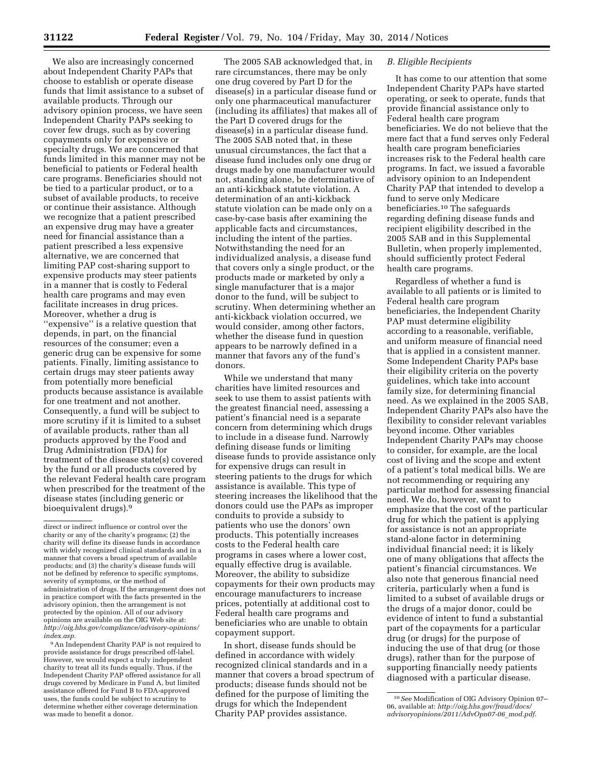We also are increasingly concerned about Independent Charity PAPs that choose to establish or operate disease funds that limit assistance to a subset of available products. Through our advisory opinion process, we have seen Independent Charity PAPs seeking to cover few drugs, such as by covering copayments only for expensive or specialty drugs. We are concerned that funds limited in this manner may not be beneficial to patients or Federal health care programs. Beneficiaries should not be tied to a particular product, or to a subset of available products, to receive or continue their assistance. Although we recognize that a patient prescribed an expensive drug may have a greater need for financial assistance than a patient prescribed a less expensive alternative, we are concerned that limiting PAP cost-sharing support to expensive products may steer patients in a manner that is costly to Federal health care programs and may even facilitate increases in drug prices. Moreover, whether a drug is "expensive" is a relative question that depends, in part, on the financial resources of the consumer; even a generic drug can be expensive for some patients. Finally, limiting assistance to certain drugs may steer patients away from potentially more beneficial products because assistance is available for one treatment and not another. Consequently, a fund will be subject to more scrutiny if it is limited to a subset of available products, rather than all products approved by the Food and Drug Administration (FDA) for treatment of the disease state(s) covered by the fund or all products covered by the relevant Federal health care program when prescribed for the treatment of the disease states (including generic or bioequivalent drugs).9

9An Independent Charity PAP is not required to provide assistance for drugs prescribed off-label. However, we would expect a truly independent charity to treat all its funds equally. Thus, if the Independent Charity PAP offered assistance for all drugs covered by Medicare in Fund A, but limited assistance offered for Fund B to FDA-approved uses, the funds could be subject to scrutiny to determine whether either coverage determination was made to benefit a donor.

The 2005 SAB acknowledged that, in rare circumstances, there may be only one drug covered by Part D for the disease(s) in a particular disease fund or only one pharmaceutical manufacturer (including its affiliates) that makes all of the Part D covered drugs for the disease(s) in a particular disease fund. The 2005 SAB noted that, in these unusual circumstances, the fact that a disease fund includes only one drug or drugs made by one manufacturer would not, standing alone, be determinative of an anti-kickback statute violation. A determination of an anti-kickback statute violation can be made only on a case-by-case basis after examining the applicable facts and circumstances, including the intent of the parties. Notwithstanding the need for an individualized analysis, a disease fund that covers only a single product, or the products made or marketed by only a single manufacturer that is a major donor to the fund, will be subject to scrutiny. When determining whether an anti-kickback violation occurred, we would consider, among other factors, whether the disease fund in question appears to be narrowly defined in a manner that favors any of the fund's donors.

While we understand that many charities have limited resources and seek to use them to assist patients with the greatest financial need, assessing a patient's financial need is a separate concern from determining which drugs to include in a disease fund. Narrowly defining disease funds or limiting disease funds to provide assistance only for expensive drugs can result in steering patients to the drugs for which assistance is available. This type of steering increases the likelihood that the donors could use the PAPs as improper conduits to provide a subsidy to patients who use the donors' own products. This potentially increases costs to the Federal health care programs in cases where a lower cost, equally effective drug is available. Moreover, the ability to subsidize copayments for their own products may encourage manufacturers to increase prices, potentially at additional cost to Federal health care programs and beneficiaries who are unable to obtain copayment support.

In short, disease funds should be defined in accordance with widely recognized clinical standards and in a manner that covers a broad spectrum of products; disease funds should not be defined for the purpose of limiting the drugs for which the Independent Charity PAP provides assistance.

### *B. Eligible Recipients*

It has come to our attention that some Independent Charity PAPs have started operating, or seek to operate, funds that provide financial assistance only to Federal health care program beneficiaries. We do not believe that the mere fact that a fund serves only Federal health care program beneficiaries increases risk to the Federal health care programs. In fact, we issued a favorable advisory opinion to an Independent Charity PAP that intended to develop a fund to serve only Medicare beneficiaries.10 The safeguards regarding defining disease funds and recipient eligibility described in the 2005 SAB and in this Supplemental Bulletin, when properly implemented, should sufficiently protect Federal health care programs.

Regardless of whether a fund is available to all patients or is limited to Federal health care program beneficiaries, the Independent Charity PAP must determine eligibility according to a reasonable, verifiable, and uniform measure of financial need that is applied in a consistent manner. Some Independent Charity PAPs base their eligibility criteria on the poverty guidelines, which take into account family size, for determining financial need. As we explained in the 2005 SAB, Independent Charity PAPs also have the flexibility to consider relevant variables beyond income. Other variables Independent Charity PAPs may choose to consider, for example, are the local cost of living and the scope and extent of a patient's total medical bills. We are not recommending or requiring any particular method for assessing financial need. We do, however, want to emphasize that the cost of the particular drug for which the patient is applying for assistance is not an appropriate stand-alone factor in determining individual financial need; it is likely one of many obligations that affects the patient's financial circumstances. We also note that generous financial need criteria, particularly when a fund is limited to a subset of available drugs or the drugs of a major donor, could be evidence of intent to fund a substantial part of the copayments for a particular drug (or drugs) for the purpose of inducing the use of that drug (or those drugs), rather than for the purpose of supporting financially needy patients diagnosed with a particular disease.

direct or indirect influence or control over the charity or any of the charity's programs; (2) the charity will define its disease funds in accordance with widely recognized clinical standards and in a manner that covers a broad spectrum of available products; and (3) the charity's disease funds will not be defined by reference to specific symptoms, severity of symptoms, or the method of administration of drugs. If the arrangement does not in practice comport with the facts presented in the advisory opinion, then the arrangement is not protected by the opinion. All of our advisory opinions are available on the OIG Web site at: *[http://oig.hhs.gov/compliance/advisory-opinions/](http://oig.hhs.gov/compliance/advisory-opinions/index.asp) [index.asp.](http://oig.hhs.gov/compliance/advisory-opinions/index.asp)* 

<sup>10</sup>*See* Modification of OIG Advisory Opinion 07– 06, available at: *[http://oig.hhs.gov/fraud/docs/](http://oig.hhs.gov/fraud/docs/advisoryopinions/2011/AdvOpn07-06_mod.pdf) [advisoryopinions/2011/AdvOpn07-06](http://oig.hhs.gov/fraud/docs/advisoryopinions/2011/AdvOpn07-06_mod.pdf)*\_*mod.pdf*.